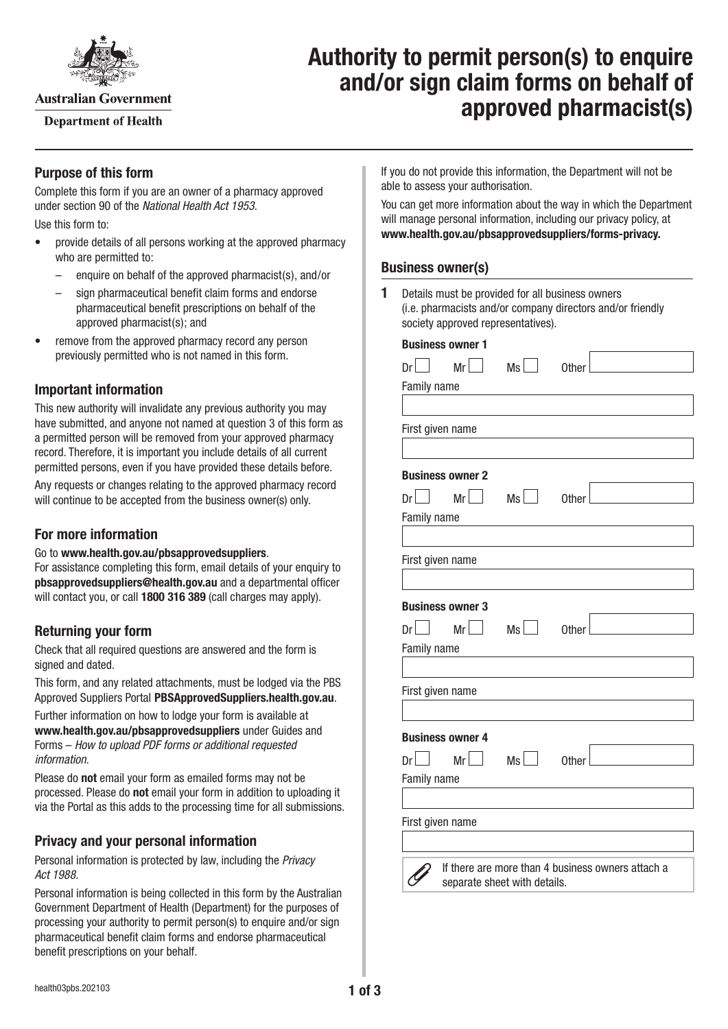

**Australian Government** 

**Department of Health** 

# **Authority to permit person(s) to enquire and/or sign claim forms on behalf of approved pharmacist(s)**

## **Purpose of this form**

Complete this form if you are an owner of a pharmacy approved under section 90 of the *National Health Act 1953.* Use this form to:

- provide details of all persons working at the approved pharmacy who are permitted to:
	- enquire on behalf of the approved pharmacist(s), and/or
	- sign pharmaceutical benefit claim forms and endorse pharmaceutical benefit prescriptions on behalf of the approved pharmacist(s); and
- remove from the approved pharmacy record any person previously permitted who is not named in this form.

## **Important information**

This new authority will invalidate any previous authority you may have submitted, and anyone not named at question 3 of this form as a permitted person will be removed from your approved pharmacy record. Therefore, it is important you include details of all current permitted persons, even if you have provided these details before. Any requests or changes relating to the approved pharmacy record will continue to be accepted from the business owner(s) only.

#### **For more information**

#### Go to **[www.health.gov.au/pbsapprovedsuppliers](http://www.health.gov.au/pbsapprovedsuppliers)**.

For assistance completing this form, email details of your enquiry to **[pbsapprovedsuppliers@health.gov.au](mailto:pbsapprovedsuppliers@health.gov.au)** and a departmental officer will contact you, or call **1800 316 389** (call charges may apply).

## **Returning your form**

Check that all required questions are answered and the form is signed and dated.

This form, and any related attachments, must be lodged via the PBS Approved Suppliers Portal [PBSApprovedSuppliers.health.gov.au](http://pbsapprovedsuppliers.health.gov.au).

Further information on how to lodge your form is available at **[www.health.gov.au/pbsapprovedsuppliers](http://www.health.gov.au/pbsapprovedsuppliers)** under Guides and Forms – *How to upload PDF forms or additional requested information*.

Please do **not** email your form as emailed forms may not be processed. Please do **not** email your form in addition to uploading it via the Portal as this adds to the processing time for all submissions.

## **Privacy and your personal information**

Personal information is protected by law, including the *Privacy Act 1988.*

Personal information is being collected in this form by the Australian Government Department of Health (Department) for the purposes of processing your authority to permit person(s) to enquire and/or sign pharmaceutical benefit claim forms and endorse pharmaceutical benefit prescriptions on your behalf.

If you do not provide this information, the Department will not be able to assess your authorisation.

You can get more information about the way in which the Department will manage personal information, including our privacy policy, at **[www.health.gov.au/pbsapprovedsuppliers/forms-privacy.](http://www.health.gov.au/pbsapprovedsuppliers/forms-privacy)**

#### **Business owner(s)**

**1** Details must be provided for all business owners (i.e. pharmacists and/or company directors and/or friendly society approved representatives).

| <b>Business owner 1</b>                               |              |                                                   |  |  |  |
|-------------------------------------------------------|--------------|---------------------------------------------------|--|--|--|
| $Mr$ <sup><math>\vert</math></sup><br>Dr <sup>2</sup> | Ms           | Other                                             |  |  |  |
| Family name                                           |              |                                                   |  |  |  |
|                                                       |              |                                                   |  |  |  |
| First given name                                      |              |                                                   |  |  |  |
|                                                       |              |                                                   |  |  |  |
| <b>Business owner 2</b>                               |              |                                                   |  |  |  |
| $Dr$  <br>$Mr$ $\Box$                                 | Ms           | Other                                             |  |  |  |
| Family name                                           |              |                                                   |  |  |  |
|                                                       |              |                                                   |  |  |  |
| First given name                                      |              |                                                   |  |  |  |
|                                                       |              |                                                   |  |  |  |
| <b>Business owner 3</b>                               |              |                                                   |  |  |  |
| $Mr\Box$<br>Dr                                        | Ms           | Other                                             |  |  |  |
| Family name                                           |              |                                                   |  |  |  |
|                                                       |              |                                                   |  |  |  |
| First given name                                      |              |                                                   |  |  |  |
|                                                       |              |                                                   |  |  |  |
| <b>Business owner 4</b>                               |              |                                                   |  |  |  |
| $Mr$ $\vert$<br>Dr                                    | $Ms$ $\vert$ | Other                                             |  |  |  |
| Family name                                           |              |                                                   |  |  |  |
|                                                       |              |                                                   |  |  |  |
| First given name                                      |              |                                                   |  |  |  |
|                                                       |              |                                                   |  |  |  |
|                                                       |              | If there are more than 4 business owners attach a |  |  |  |
| separate sheet with details.                          |              |                                                   |  |  |  |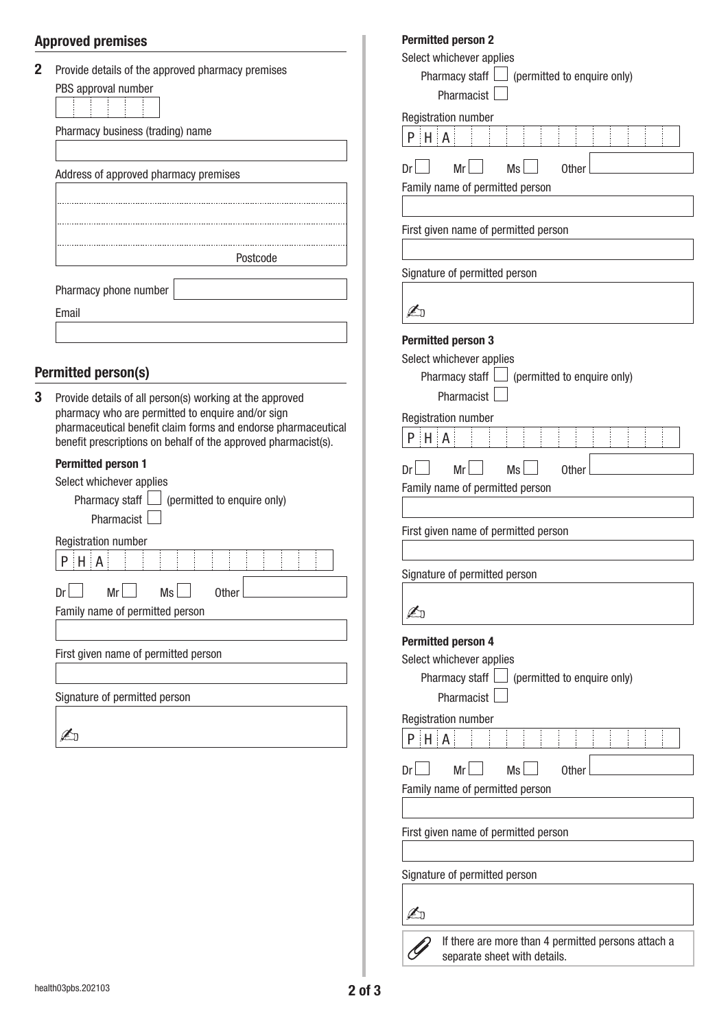## **Approved premises**

| Pharmacy business (trading) name                                                                                                                                                                                                                 |  |  |  |  |  |
|--------------------------------------------------------------------------------------------------------------------------------------------------------------------------------------------------------------------------------------------------|--|--|--|--|--|
| Address of approved pharmacy premises                                                                                                                                                                                                            |  |  |  |  |  |
|                                                                                                                                                                                                                                                  |  |  |  |  |  |
| Postcode                                                                                                                                                                                                                                         |  |  |  |  |  |
| Pharmacy phone number<br>Email                                                                                                                                                                                                                   |  |  |  |  |  |
| <b>Permitted person(s)</b>                                                                                                                                                                                                                       |  |  |  |  |  |
| Provide details of all person(s) working at the approved<br>pharmacy who are permitted to enquire and/or sign<br>pharmaceutical benefit claim forms and endorse pharmaceutical<br>benefit prescriptions on behalf of the approved pharmacist(s). |  |  |  |  |  |
| <b>Permitted person 1</b><br>Select whichever applies<br>Pharmacy staff<br>(permitted to enquire only)<br>Pharmacist                                                                                                                             |  |  |  |  |  |
| <b>Registration number</b><br>$H \cdot A$<br>P                                                                                                                                                                                                   |  |  |  |  |  |
| Mr<br>Ms<br><b>Other</b><br>Dr<br>Family name of permitted person                                                                                                                                                                                |  |  |  |  |  |
| First given name of permitted person                                                                                                                                                                                                             |  |  |  |  |  |
| Signature of permitted person                                                                                                                                                                                                                    |  |  |  |  |  |
| Æπ                                                                                                                                                                                                                                               |  |  |  |  |  |
|                                                                                                                                                                                                                                                  |  |  |  |  |  |

| <b>Permitted person 2</b>                                                                                                       |  |  |  |  |  |  |  |
|---------------------------------------------------------------------------------------------------------------------------------|--|--|--|--|--|--|--|
| Select whichever applies                                                                                                        |  |  |  |  |  |  |  |
| Pharmacy staff $\Box$ (permitted to enquire only)                                                                               |  |  |  |  |  |  |  |
| Pharmacist                                                                                                                      |  |  |  |  |  |  |  |
| Registration number                                                                                                             |  |  |  |  |  |  |  |
| $P$ $H$ $A$                                                                                                                     |  |  |  |  |  |  |  |
| Mr<br>Ms<br>Dr<br><b>Other</b>                                                                                                  |  |  |  |  |  |  |  |
| Family name of permitted person                                                                                                 |  |  |  |  |  |  |  |
|                                                                                                                                 |  |  |  |  |  |  |  |
| First given name of permitted person                                                                                            |  |  |  |  |  |  |  |
| Signature of permitted person                                                                                                   |  |  |  |  |  |  |  |
|                                                                                                                                 |  |  |  |  |  |  |  |
|                                                                                                                                 |  |  |  |  |  |  |  |
| <b>Permitted person 3</b><br>Select whichever applies<br>Pharmacy staff $\Box$ (permitted to enquire only)<br><b>Pharmacist</b> |  |  |  |  |  |  |  |
| <b>Registration number</b>                                                                                                      |  |  |  |  |  |  |  |
| $H$ $A$<br>P                                                                                                                    |  |  |  |  |  |  |  |
| Mr<br><b>Ms</b><br>Dr<br><b>Other</b>                                                                                           |  |  |  |  |  |  |  |
| Family name of permitted person                                                                                                 |  |  |  |  |  |  |  |
|                                                                                                                                 |  |  |  |  |  |  |  |
| First given name of permitted person                                                                                            |  |  |  |  |  |  |  |
|                                                                                                                                 |  |  |  |  |  |  |  |
| Signature of permitted person                                                                                                   |  |  |  |  |  |  |  |
|                                                                                                                                 |  |  |  |  |  |  |  |
|                                                                                                                                 |  |  |  |  |  |  |  |
| <b>Permitted person 4</b><br>Select whichever applies<br>Pharmacy staff $\Box$ (permitted to enquire only)<br>Pharmacist        |  |  |  |  |  |  |  |
| <b>Registration number</b>                                                                                                      |  |  |  |  |  |  |  |
| $P$ $H$ $A$                                                                                                                     |  |  |  |  |  |  |  |
| Mr<br><b>Ms</b><br>ηr<br>Other<br>Family name of permitted person                                                               |  |  |  |  |  |  |  |
|                                                                                                                                 |  |  |  |  |  |  |  |
| First given name of permitted person                                                                                            |  |  |  |  |  |  |  |
| Signature of permitted person                                                                                                   |  |  |  |  |  |  |  |
|                                                                                                                                 |  |  |  |  |  |  |  |

If there are more than 4 permitted persons attach a separate sheet with details.

I